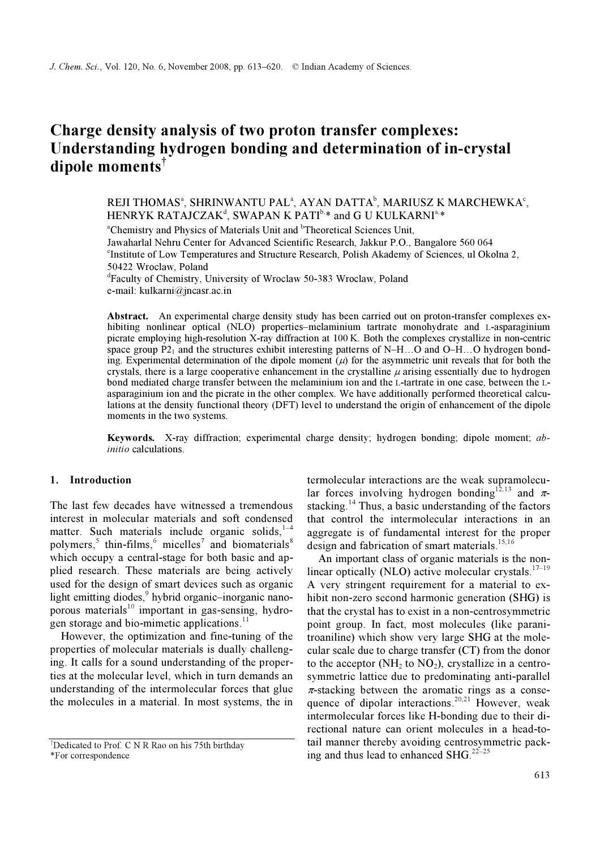# Charge density analysis of two proton transfer complexes: Understanding hydrogen bonding and determination of in-crystal dipole moments†

REJI THOMAS<sup>a</sup>, SHRINWANTU PAL<sup>a</sup>, AYAN DATTA<sup>b</sup>, MARIUSZ K MARCHEWKA<sup>c</sup>, HENRYK RATAJCZAK<sup>d</sup>, SWAPAN K PATI<sup>b,\*</sup> and G U KULKARNI<sup>a,\*</sup>

<sup>a</sup>Chemistry and Physics of Materials Unit and <sup>b</sup>Theoretical Sciences Unit, Jawaharlal Nehru Center for Advanced Scientific Research, Jakkur P.O., Bangalore 560 064 c Institute of Low Temperatures and Structure Research, Polish Akademy of Sciences, ul Okolna 2, 50422 Wroclaw, Poland d Faculty of Chemistry, University of Wroclaw 50-383 Wroclaw, Poland

e-mail: kulkarni@jncasr.ac.in

Abstract. An experimental charge density study has been carried out on proton-transfer complexes exhibiting nonlinear optical (NLO) properties–melaminium tartrate monohydrate and L-asparaginium picrate employing high-resolution X-ray diffraction at 100 K. Both the complexes crystallize in non-centric space group  $P2<sub>1</sub>$  and the structures exhibit interesting patterns of N–H…O and O–H…O hydrogen bonding. Experimental determination of the dipole moment  $(\mu)$  for the asymmetric unit reveals that for both the crystals, there is a large cooperative enhancement in the crystalline  $\mu$  arising essentially due to hydrogen bond mediated charge transfer between the melaminium ion and the L-tartrate in one case, between the Lasparaginium ion and the picrate in the other complex. We have additionally performed theoretical calculations at the density functional theory (DFT) level to understand the origin of enhancement of the dipole moments in the two systems.

Keywords. X-ray diffraction; experimental charge density; hydrogen bonding; dipole moment; abinitio calculations.

# 1. Introduction

The last few decades have witnessed a tremendous interest in molecular materials and soft condensed matter. Such materials include organic solids, $1-4$ polymers,  $5$  thin-films,  $6$  micelles<sup>7</sup> and biomaterials<sup>8</sup> which occupy a central-stage for both basic and applied research. These materials are being actively used for the design of smart devices such as organic light emitting diodes,<sup>9</sup> hybrid organic-inorganic nanoporous materials<sup>10</sup> important in gas-sensing, hydrogen storage and bio-mimetic applications.<sup>11</sup>

 However, the optimization and fine-tuning of the properties of molecular materials is dually challenging. It calls for a sound understanding of the properties at the molecular level, which in turn demands an understanding of the intermolecular forces that glue the molecules in a material. In most systems, the in termolecular interactions are the weak supramolecular forces involving hydrogen bonding<sup>12,13</sup> and  $\pi$ stacking.<sup>14</sup> Thus, a basic understanding of the factors that control the intermolecular interactions in an aggregate is of fundamental interest for the proper design and fabrication of smart materials.<sup>15,16</sup>

 An important class of organic materials is the nonlinear optically (NLO) active molecular crystals. $17-19$ A very stringent requirement for a material to exhibit non-zero second harmonic generation (SHG) is that the crystal has to exist in a non-centrosymmetric point group. In fact, most molecules (like paranitroaniline) which show very large SHG at the molecular scale due to charge transfer (CT) from the donor to the acceptor (NH<sub>2</sub> to NO<sub>2</sub>), crystallize in a centrosymmetric lattice due to predominating anti-parallel  $\pi$ -stacking between the aromatic rings as a consequence of dipolar interactions.<sup>20,21</sup> However, weak intermolecular forces like H-bonding due to their directional nature can orient molecules in a head-totail manner thereby avoiding centrosymmetric packing and thus lead to enhanced SHG.<sup>22–25</sup>

<sup>&</sup>lt;sup>†</sup>Dedicated to Prof. C N R Rao on his 75th birthday \*For correspondence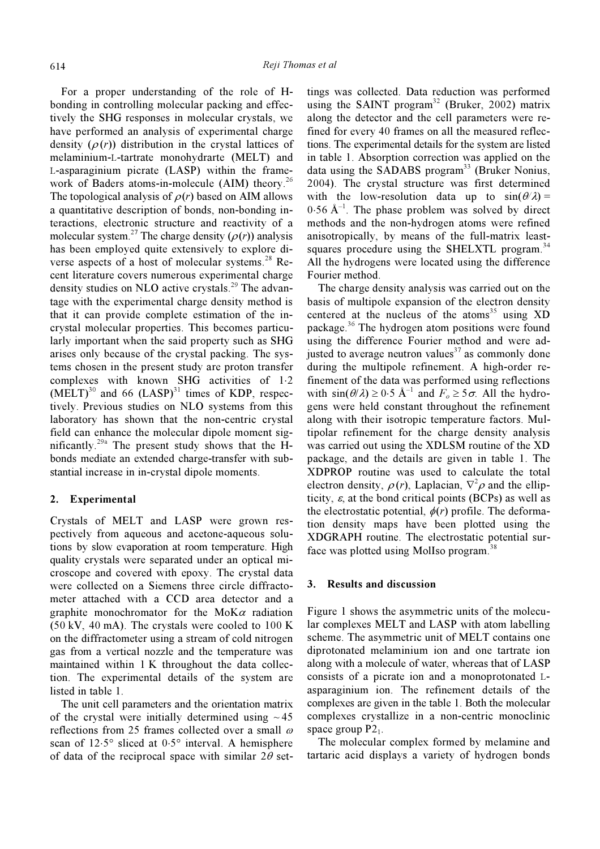For a proper understanding of the role of Hbonding in controlling molecular packing and effectively the SHG responses in molecular crystals, we have performed an analysis of experimental charge density  $(\rho(r))$  distribution in the crystal lattices of melaminium-L-tartrate monohydrarte (MELT) and L-asparaginium picrate (LASP) within the framework of Baders atoms-in-molecule  $(AIM)$  theory.<sup>26</sup> The topological analysis of  $\rho(r)$  based on AIM allows a quantitative description of bonds, non-bonding interactions, electronic structure and reactivity of a molecular system.<sup>27</sup> The charge density ( $\rho(r)$ ) analysis has been employed quite extensively to explore diverse aspects of a host of molecular systems.<sup>28</sup> Recent literature covers numerous experimental charge density studies on NLO active crystals.<sup>29</sup> The advantage with the experimental charge density method is that it can provide complete estimation of the incrystal molecular properties. This becomes particularly important when the said property such as SHG arises only because of the crystal packing. The systems chosen in the present study are proton transfer complexes with known SHG activities of 1⋅2  $(MELT)^{30}$  and 66  $(LASP)^{31}$  times of KDP, respectively. Previous studies on NLO systems from this laboratory has shown that the non-centric crystal field can enhance the molecular dipole moment significantly.<sup>29a</sup> The present study shows that the Hbonds mediate an extended charge-transfer with substantial increase in in-crystal dipole moments.

## 2. Experimental

Crystals of MELT and LASP were grown respectively from aqueous and acetone-aqueous solutions by slow evaporation at room temperature. High quality crystals were separated under an optical microscope and covered with epoxy. The crystal data were collected on a Siemens three circle diffractometer attached with a CCD area detector and a graphite monochromator for the MoK $\alpha$  radiation (50 kV, 40 mA). The crystals were cooled to 100 K on the diffractometer using a stream of cold nitrogen gas from a vertical nozzle and the temperature was maintained within 1 K throughout the data collection. The experimental details of the system are listed in table 1.

 The unit cell parameters and the orientation matrix of the crystal were initially determined using  $\sim$  45 reflections from 25 frames collected over a small ω scan of 12⋅5° sliced at 0⋅5° interval. A hemisphere of data of the reciprocal space with similar  $2\theta$  settings was collected. Data reduction was performed using the SAINT program<sup>32</sup> (Bruker, 2002) matrix along the detector and the cell parameters were refined for every 40 frames on all the measured reflections. The experimental details for the system are listed in table 1. Absorption correction was applied on the data using the SADABS program<sup>33</sup> (Bruker Nonius, 2004). The crystal structure was first determined with the low-resolution data up to  $sin(\theta/\lambda)$  =  $0.56 \text{ Å}^{-1}$ . The phase problem was solved by direct methods and the non-hydrogen atoms were refined anisotropically, by means of the full-matrix leastsquares procedure using the SHELXTL program. $34$ All the hydrogens were located using the difference Fourier method.

 The charge density analysis was carried out on the basis of multipole expansion of the electron density centered at the nucleus of the atoms<sup>35</sup> using  $XD$ package.<sup>36</sup> The hydrogen atom positions were found using the difference Fourier method and were adjusted to average neutron values $37$  as commonly done during the multipole refinement. A high-order refinement of the data was performed using reflections with  $\sin(\theta/\lambda) \ge 0.5$  Å<sup>-1</sup> and  $F_o \ge 5\sigma$ . All the hydrogens were held constant throughout the refinement along with their isotropic temperature factors. Multipolar refinement for the charge density analysis was carried out using the XDLSM routine of the XD package, and the details are given in table 1. The XDPROP routine was used to calculate the total electron density,  $\rho(r)$ , Laplacian,  $\nabla^2 \rho$  and the ellipticity,  $\varepsilon$ , at the bond critical points (BCPs) as well as the electrostatic potential,  $\phi(r)$  profile. The deformation density maps have been plotted using the XDGRAPH routine. The electrostatic potential surface was plotted using MolIso program.<sup>38</sup>

### 3. Results and discussion

Figure 1 shows the asymmetric units of the molecular complexes MELT and LASP with atom labelling scheme. The asymmetric unit of MELT contains one diprotonated melaminium ion and one tartrate ion along with a molecule of water, whereas that of LASP consists of a picrate ion and a monoprotonated Lasparaginium ion. The refinement details of the complexes are given in the table 1. Both the molecular complexes crystallize in a non-centric monoclinic space group  $P2<sub>1</sub>$ .

 The molecular complex formed by melamine and tartaric acid displays a variety of hydrogen bonds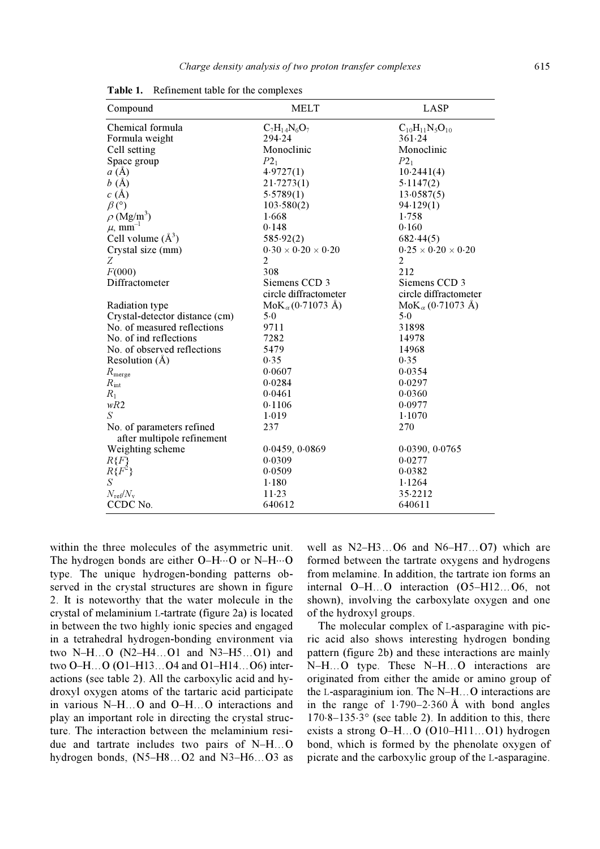| Compound                       | <b>MELT</b>                     | LASP                           |  |
|--------------------------------|---------------------------------|--------------------------------|--|
| Chemical formula               | $C_7H_{14}N_6O_7$               | $C_{10}H_{11}N_5O_{10}$        |  |
| Formula weight                 | 294.24                          | 361.24                         |  |
| Cell setting                   | Monoclinic                      | Monoclinic                     |  |
| Space group                    | $P2_1$<br>$P2_1$                |                                |  |
| a(A)                           | 4.9727(1)                       | 10.2441(4)                     |  |
| b(A)                           | 21.7273(1)                      | 5.1147(2)                      |  |
| c(A)                           | 5.5789(1)                       | 13.0587(5)                     |  |
| $\beta$ (°)                    | 103.580(2)                      | 94.129(1)                      |  |
| $\rho$ (Mg/m <sup>3</sup> )    | 1.668                           | 1.758                          |  |
| $\mu$ , mm                     | 0.148                           | 0.160                          |  |
| Cell volume $(A^3)$            | 585.92(2)                       | 682.44(5)                      |  |
| Crystal size (mm)              | $0.30 \times 0.20 \times 0.20$  | $0.25 \times 0.20 \times 0.20$ |  |
| Ζ                              | 2                               | 2                              |  |
| F(000)                         | 308                             | 212                            |  |
| Diffractometer                 | Siemens CCD 3                   | Siemens CCD 3                  |  |
|                                | circle diffractometer           | circle diffractometer          |  |
| Radiation type                 | $MoK_\alpha(0.71073 \text{ Å})$ | $MoK_{\alpha}$ (0.71073 Å)     |  |
| Crystal-detector distance (cm) | 5.0                             | 5.0                            |  |
| No. of measured reflections    | 9711                            | 31898                          |  |
| No. of ind reflections         | 7282                            | 14978                          |  |
| No. of observed reflections    | 5479                            | 14968                          |  |
| Resolution $(A)$               | 0.35                            | 0.35                           |  |
| R <sub>merge</sub>             | 0.0607                          | 0.0354                         |  |
| $R_{\rm int}$                  | 0.0284                          | 0.0297                         |  |
| $R_{1}$                        | 0.0461                          | 0.0360                         |  |
| wR2                            | 0.1106                          | 0.0977                         |  |
| S                              | 1.019                           | 1.1070                         |  |
| No. of parameters refined      | 237                             | 270                            |  |
| after multipole refinement     |                                 |                                |  |
| Weighting scheme               | 0.0459, 0.0869                  | 0.0390, 0.0765                 |  |
| $R{F}$                         | 0.0309                          | 0.0277                         |  |
| $R\{F^2\}$                     | 0.0509<br>0.0382                |                                |  |
| S                              | 1.180                           | 1.1264                         |  |
| $N_{\rm ref}/N_{\rm v}$        | $11-23$                         | 35.2212                        |  |
| CCDC No.                       | 640612                          | 640611                         |  |

Table 1. Refinement table for the complexes

within the three molecules of the asymmetric unit. The hydrogen bonds are either O–H⋅⋅⋅O or N–H⋅⋅⋅O type. The unique hydrogen-bonding patterns observed in the crystal structures are shown in figure 2. It is noteworthy that the water molecule in the crystal of melaminium L-tartrate (figure 2a) is located in between the two highly ionic species and engaged in a tetrahedral hydrogen-bonding environment via two N–H…O (N2–H4…O1 and N3–H5…O1) and two O–H…O (O1–H13…O4 and O1–H14…O6) interactions (see table 2). All the carboxylic acid and hydroxyl oxygen atoms of the tartaric acid participate in various N–H…O and O–H…O interactions and play an important role in directing the crystal structure. The interaction between the melaminium residue and tartrate includes two pairs of N–H…O hydrogen bonds, (N5–H8…O2 and N3–H6…O3 as

well as N2–H3…O6 and N6–H7…O7) which are formed between the tartrate oxygens and hydrogens from melamine. In addition, the tartrate ion forms an internal O–H…O interaction (O5–H12…O6, not shown), involving the carboxylate oxygen and one of the hydroxyl groups.

 The molecular complex of L-asparagine with picric acid also shows interesting hydrogen bonding pattern (figure 2b) and these interactions are mainly N–H…O type. These N–H…O interactions are originated from either the amide or amino group of the L-asparaginium ion. The N–H…O interactions are in the range of 1⋅790–2⋅360 Å with bond angles  $170.8-135.3°$  (see table 2). In addition to this, there exists a strong  $O-H...O$  ( $O10-H11...O1$ ) hydrogen bond, which is formed by the phenolate oxygen of picrate and the carboxylic group of the L-asparagine.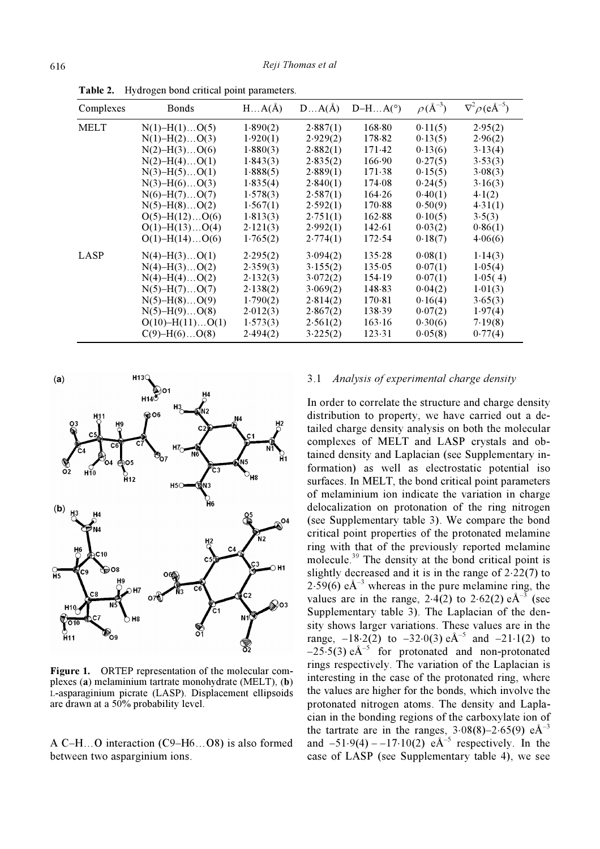| Complexes   | <b>Bonds</b>               | $HA(\AA)$ | $DA(\AA)$ | $D-HA(°)$ | $\rho(\AA^{-3})$ | $\nabla^2 \rho$ (eÅ <sup>-5</sup> ) |
|-------------|----------------------------|-----------|-----------|-----------|------------------|-------------------------------------|
| <b>MELT</b> | $N(1) - H(1) \dots O(5)$   | 1.890(2)  | 2.887(1)  | 168.80    | 0.11(5)          | 2.95(2)                             |
|             | $N(1) - H(2) \dots O(3)$   | 1.920(1)  | 2.929(2)  | 178.82    | 0.13(5)          | 2.96(2)                             |
|             | $N(2)-H(3)O(6)$            | 1.880(3)  | 2.882(1)  | 171.42    | 0.13(6)          | 3.13(4)                             |
|             | $N(2)-H(4)O(1)$            | 1.843(3)  | 2.835(2)  | 166.90    | 0.27(5)          | 3.53(3)                             |
|             | $N(3)-H(5)O(1)$            | 1.888(5)  | 2.889(1)  | 171.38    | 0.15(5)          | 3.08(3)                             |
|             | $N(3)-H(6)O(3)$            | 1.835(4)  | 2.840(1)  | 174.08    | 0.24(5)          | 3.16(3)                             |
|             | $N(6)-H(7)O(7)$            | 1.578(3)  | 2.587(1)  | 164.26    | 0.40(1)          | 4.1(2)                              |
|             | $N(5)-H(8)O(2)$            | 1.567(1)  | 2.592(1)  | 170.88    | 0.50(9)          | 4.31(1)                             |
|             | $O(5)$ -H(12) $O(6)$       | 1.813(3)  | 2.751(1)  | 162.88    | 0.10(5)          | 3.5(3)                              |
|             | $O(1)$ -H $(13)$ $O(4)$    | 2.121(3)  | 2.992(1)  | 142.61    | 0.03(2)          | 0.86(1)                             |
|             | $O(1)$ -H $(14)$ $O(6)$    | 1.765(2)  | 2.774(1)  | 172.54    | 0.18(7)          | 4.06(6)                             |
| LASP        | $N(4) - H(3) \dots O(1)$   | 2.295(2)  | 3.094(2)  | 135.28    | 0.08(1)          | 1.14(3)                             |
|             | $N(4) - H(3) \dots O(2)$   | 2.359(3)  | 3.155(2)  | 135.05    | 0.07(1)          | 1.05(4)                             |
|             | $N(4) - H(4) \dots O(2)$   | 2.132(3)  | 3.072(2)  | 154.19    | 0.07(1)          | 1.05(4)                             |
|             | $N(5)-H(7)O(7)$            | 2.138(2)  | 3.069(2)  | 148.83    | 0.04(2)          | 1.01(3)                             |
|             | $N(5)-H(8)O(9)$            | 1.790(2)  | 2.814(2)  | 170.81    | 0.16(4)          | 3.65(3)                             |
|             | $N(5)-H(9)O(8)$            | 2.012(3)  | 2.867(2)  | 138.39    | 0.07(2)          | 1.97(4)                             |
|             | $O(10) - H(11) \dots O(1)$ | 1.573(3)  | 2.561(2)  | 163.16    | 0.30(6)          | 7.19(8)                             |
|             | $C(9)$ -H(6)O(8)           | 2.494(2)  | 3.225(2)  | 123.31    | 0.05(8)          | 0.77(4)                             |

Table 2. Hydrogen bond critical point parameters.



Figure 1. ORTEP representation of the molecular complexes (a) melaminium tartrate monohydrate (MELT), (b) L-asparaginium picrate (LASP). Displacement ellipsoids are drawn at a 50% probability level.

A C–H…O interaction (C9–H6…O8) is also formed between two asparginium ions.

#### 3.1 Analysis of experimental charge density

In order to correlate the structure and charge density distribution to property, we have carried out a detailed charge density analysis on both the molecular complexes of MELT and LASP crystals and obtained density and Laplacian (see Supplementary information) as well as electrostatic potential iso surfaces. In MELT, the bond critical point parameters of melaminium ion indicate the variation in charge delocalization on protonation of the ring nitrogen (see Supplementary table 3). We compare the bond critical point properties of the protonated melamine ring with that of the previously reported melamine molecule.<sup>39</sup> The density at the bond critical point is slightly decreased and it is in the range of  $2·22(7)$  to  $2.59(6)$  eÅ<sup>-3</sup> whereas in the pure melamine ring, the values are in the range, 2⋅4(2) to 2⋅62(2)  $e<sup>A</sup><sup>-3</sup>$  (see Supplementary table 3). The Laplacian of the density shows larger variations. These values are in the range,  $-18.2(2)$  to  $-32.0(3)$  eÅ<sup>-5</sup> and  $-21.1(2)$  to  $-25.5(3)$  eÅ<sup>-5</sup> for protonated and non-protonated rings respectively. The variation of the Laplacian is interesting in the case of the protonated ring, where the values are higher for the bonds, which involve the protonated nitrogen atoms. The density and Laplacian in the bonding regions of the carboxylate ion of the tartrate are in the ranges,  $3.08(8)-2.65(9)$  eÅ<sup>-3</sup> and  $-51.9(4) -17.10(2)$  eÅ<sup>-5</sup> respectively. In the case of LASP (see Supplementary table 4), we see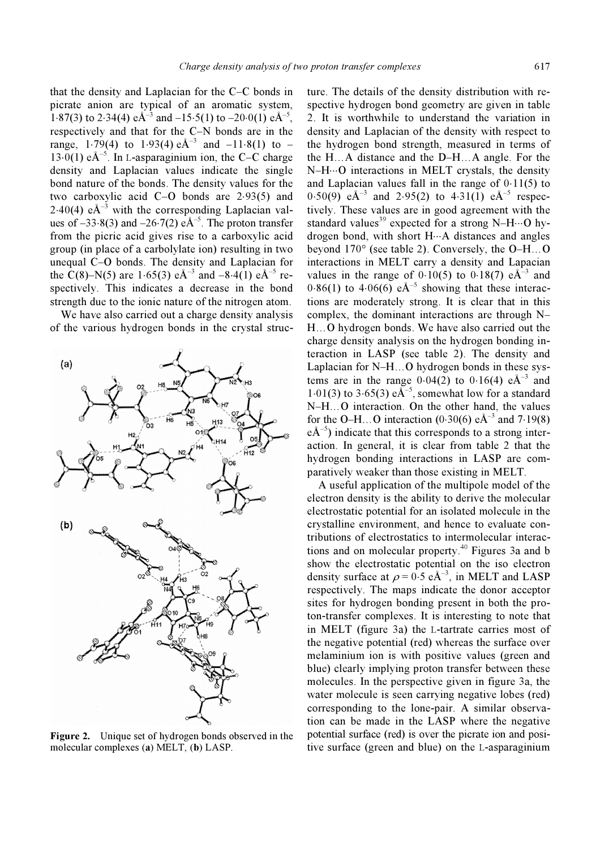that the density and Laplacian for the C–C bonds in picrate anion are typical of an aromatic system, 1⋅87(3) to 2⋅34(4) eÅ<sup>-3</sup> and -15⋅5(1) to -20⋅0(1) eÅ<sup>-5</sup>, respectively and that for the C–N bonds are in the range, 1⋅79(4) to 1⋅93(4) eÅ<sup>-3</sup> and -11⋅8(1) to -13⋅0(1)  $e^{\hat{A}^{-5}}$ . In L-asparaginium ion, the C–C charge density and Laplacian values indicate the single bond nature of the bonds. The density values for the two carboxylic acid C–O bonds are 2⋅93(5) and  $2.40(4)$  eÅ<sup>-3</sup> with the corresponding Laplacian values of  $-33.8(3)$  and  $-26.7(2)$  eÅ<sup>-5</sup>. The proton transfer from the picric acid gives rise to a carboxylic acid group (in place of a carbolylate ion) resulting in two unequal C–O bonds. The density and Laplacian for the C(8)–N(5) are 1⋅65(3) eÅ<sup>-3</sup> and –8⋅4(1) eÅ<sup>-5</sup> respectively. This indicates a decrease in the bond strength due to the ionic nature of the nitrogen atom.

 We have also carried out a charge density analysis of the various hydrogen bonds in the crystal struc-



Figure 2. Unique set of hydrogen bonds observed in the molecular complexes (a) MELT, (b) LASP.

ture. The details of the density distribution with respective hydrogen bond geometry are given in table 2. It is worthwhile to understand the variation in density and Laplacian of the density with respect to the hydrogen bond strength, measured in terms of the H…A distance and the D–H…A angle. For the N–H…O interactions in MELT crystals, the density and Laplacian values fall in the range of 0⋅11(5) to  $0.50(9)$  eÅ<sup>-3</sup> and 2.95(2) to 4.31(1) eÅ<sup>-5</sup> respectively. These values are in good agreement with the standard values<sup>39</sup> expected for a strong N–H $\cdot\cdot$ O hydrogen bond, with short H⋅⋅⋅A distances and angles beyond 170° (see table 2). Conversely, the O–H…O interactions in MELT carry a density and Lapacian values in the range of  $0.10(5)$  to  $0.18(7)$  eÅ<sup>-3</sup> and  $0.86(1)$  to  $4.06(6)$  eÅ<sup>-5</sup> showing that these interactions are moderately strong. It is clear that in this complex, the dominant interactions are through N– H…O hydrogen bonds. We have also carried out the charge density analysis on the hydrogen bonding interaction in LASP (see table 2). The density and Laplacian for N–H…O hydrogen bonds in these systems are in the range  $0.04(2)$  to  $0.16(4)$  eÅ<sup>-3</sup> and  $1.01(3)$  to 3.65(3) eÅ<sup>-5</sup>, somewhat low for a standard N–H…O interaction. On the other hand, the values for the O–H…O interaction (0⋅30(6)  $e<sup>A^{-3}</sup>$  and 7⋅19(8)  $e\text{\AA}^{-5}$ ) indicate that this corresponds to a strong interaction. In general, it is clear from table 2 that the hydrogen bonding interactions in LASP are comparatively weaker than those existing in MELT.

 A useful application of the multipole model of the electron density is the ability to derive the molecular electrostatic potential for an isolated molecule in the crystalline environment, and hence to evaluate contributions of electrostatics to intermolecular interactions and on molecular property.<sup>40</sup> Figures 3a and b show the electrostatic potential on the iso electron density surface at  $\rho = 0.5$  eÅ<sup>-3</sup>, in MELT and LASP respectively. The maps indicate the donor acceptor sites for hydrogen bonding present in both the proton-transfer complexes. It is interesting to note that in MELT (figure 3a) the L-tartrate carries most of the negative potential (red) whereas the surface over melaminium ion is with positive values (green and blue) clearly implying proton transfer between these molecules. In the perspective given in figure 3a, the water molecule is seen carrying negative lobes (red) corresponding to the lone-pair. A similar observation can be made in the LASP where the negative potential surface (red) is over the picrate ion and positive surface (green and blue) on the L-asparaginium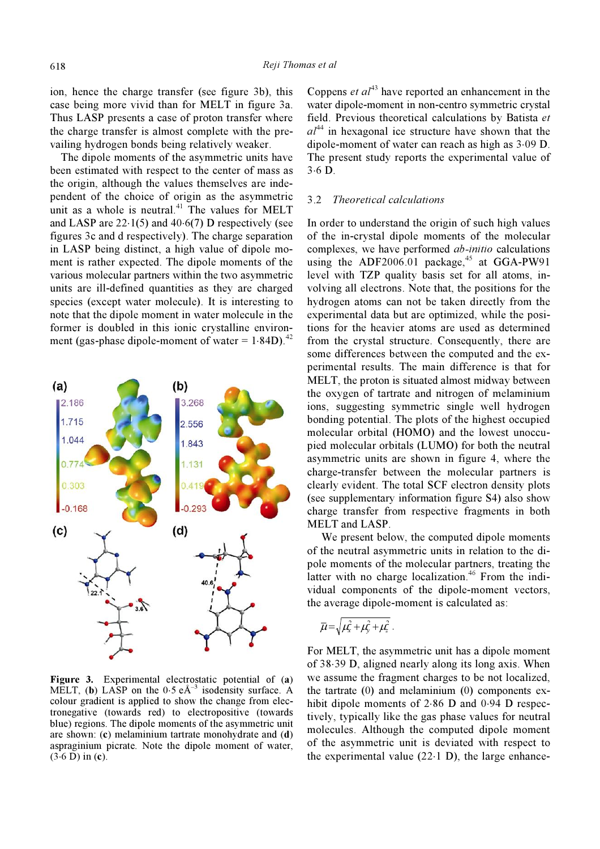ion, hence the charge transfer (see figure 3b), this case being more vivid than for MELT in figure 3a. Thus LASP presents a case of proton transfer where the charge transfer is almost complete with the prevailing hydrogen bonds being relatively weaker.

 The dipole moments of the asymmetric units have been estimated with respect to the center of mass as the origin, although the values themselves are independent of the choice of origin as the asymmetric unit as a whole is neutral.<sup>41</sup> The values for MELT and LASP are  $22.1(5)$  and  $40.6(7)$  D respectively (see figures 3c and d respectively). The charge separation in LASP being distinct, a high value of dipole moment is rather expected. The dipole moments of the various molecular partners within the two asymmetric units are ill-defined quantities as they are charged species (except water molecule). It is interesting to note that the dipole moment in water molecule in the former is doubled in this ionic crystalline environment (gas-phase dipole-moment of water =  $1.84D$ ).<sup>42</sup>



Figure 3. Experimental electrostatic potential of (a) MELT, (b) LASP on the  $0.5$  eÅ<sup>-3</sup> isodensity surface. A colour gradient is applied to show the change from electronegative (towards red) to electropositive (towards blue) regions. The dipole moments of the asymmetric unit are shown: (c) melaminium tartrate monohydrate and (d) aspraginium picrate. Note the dipole moment of water,  $(3.6 \text{ D})$  in (c).

Coppens *et al*<sup>43</sup> have reported an enhancement in the water dipole-moment in non-centro symmetric crystal field. Previous theoretical calculations by Batista et  $al^{44}$  in hexagonal ice structure have shown that the dipole-moment of water can reach as high as 3⋅09 D. The present study reports the experimental value of 3⋅6 D.

#### 3.2 Theoretical calculations

In order to understand the origin of such high values of the in-crystal dipole moments of the molecular complexes, we have performed ab-initio calculations using the ADF2006.01 package,<sup>45</sup> at GGA-PW91 level with TZP quality basis set for all atoms, involving all electrons. Note that, the positions for the hydrogen atoms can not be taken directly from the experimental data but are optimized, while the positions for the heavier atoms are used as determined from the crystal structure. Consequently, there are some differences between the computed and the experimental results. The main difference is that for MELT, the proton is situated almost midway between the oxygen of tartrate and nitrogen of melaminium ions, suggesting symmetric single well hydrogen bonding potential. The plots of the highest occupied molecular orbital (HOMO) and the lowest unoccupied molecular orbitals (LUMO) for both the neutral asymmetric units are shown in figure 4, where the charge-transfer between the molecular partners is clearly evident. The total SCF electron density plots (see supplementary information figure S4) also show charge transfer from respective fragments in both MELT and LASP.

 We present below, the computed dipole moments of the neutral asymmetric units in relation to the dipole moments of the molecular partners, treating the latter with no charge localization.<sup>46</sup> From the individual components of the dipole-moment vectors, the average dipole-moment is calculated as:

$$
\overline{\mu} = \sqrt{\mu_x^2 + \mu_y^2 + \mu_z^2}.
$$

For MELT, the asymmetric unit has a dipole moment of 38⋅39 D, aligned nearly along its long axis. When we assume the fragment charges to be not localized, the tartrate (0) and melaminium (0) components exhibit dipole moments of 2⋅86 D and 0⋅94 D respectively, typically like the gas phase values for neutral molecules. Although the computed dipole moment of the asymmetric unit is deviated with respect to the experimental value  $(22 \cdot 1)$ , the large enhance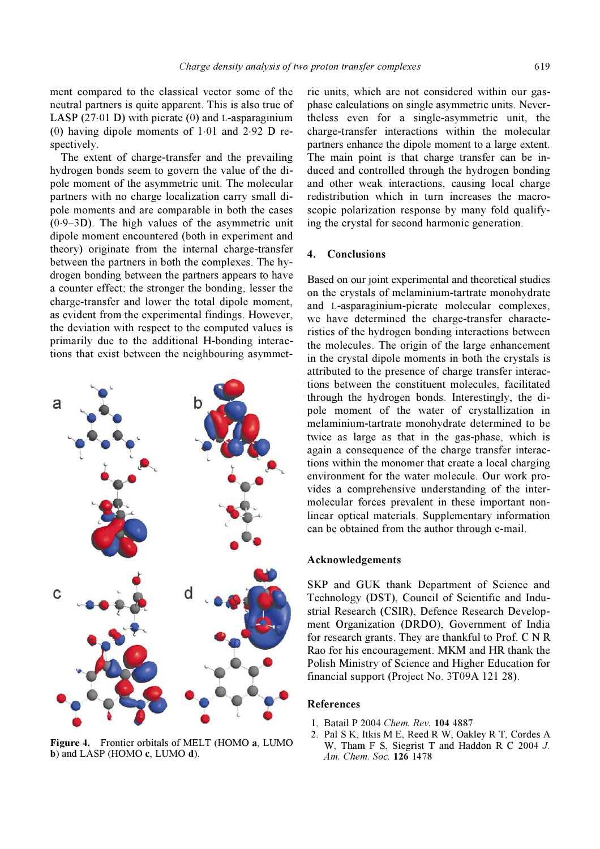ment compared to the classical vector some of the neutral partners is quite apparent. This is also true of LASP  $(27.01 \text{ D})$  with picrate  $(0)$  and L-asparaginium (0) having dipole moments of 1⋅01 and 2⋅92 D respectively.

 The extent of charge-transfer and the prevailing hydrogen bonds seem to govern the value of the dipole moment of the asymmetric unit. The molecular partners with no charge localization carry small dipole moments and are comparable in both the cases (0⋅9–3D). The high values of the asymmetric unit dipole moment encountered (both in experiment and theory) originate from the internal charge-transfer between the partners in both the complexes. The hydrogen bonding between the partners appears to have a counter effect; the stronger the bonding, lesser the charge-transfer and lower the total dipole moment, as evident from the experimental findings. However, the deviation with respect to the computed values is primarily due to the additional H-bonding interactions that exist between the neighbouring asymmet-



Figure 4. Frontier orbitals of MELT (HOMO a, LUMO b) and LASP (HOMO c, LUMO d).

ric units, which are not considered within our gasphase calculations on single asymmetric units. Nevertheless even for a single-asymmetric unit, the charge-transfer interactions within the molecular partners enhance the dipole moment to a large extent. The main point is that charge transfer can be induced and controlled through the hydrogen bonding and other weak interactions, causing local charge redistribution which in turn increases the macroscopic polarization response by many fold qualifying the crystal for second harmonic generation.

## 4. Conclusions

Based on our joint experimental and theoretical studies on the crystals of melaminium-tartrate monohydrate and L-asparaginium-picrate molecular complexes, we have determined the charge-transfer characteristics of the hydrogen bonding interactions between the molecules. The origin of the large enhancement in the crystal dipole moments in both the crystals is attributed to the presence of charge transfer interactions between the constituent molecules, facilitated through the hydrogen bonds. Interestingly, the dipole moment of the water of crystallization in melaminium-tartrate monohydrate determined to be twice as large as that in the gas-phase, which is again a consequence of the charge transfer interactions within the monomer that create a local charging environment for the water molecule. Our work provides a comprehensive understanding of the intermolecular forces prevalent in these important nonlinear optical materials. Supplementary information can be obtained from the author through e-mail.

## Acknowledgements

SKP and GUK thank Department of Science and Technology (DST), Council of Scientific and Industrial Research (CSIR), Defence Research Development Organization (DRDO), Government of India for research grants. They are thankful to Prof. C N R Rao for his encouragement. MKM and HR thank the Polish Ministry of Science and Higher Education for financial support (Project No. 3T09A 121 28).

#### References

- 1. Batail P 2004 Chem. Rev. 104 4887
- 2. Pal S K, Itkis M E, Reed R W, Oakley R T, Cordes A W, Tham F S, Siegrist T and Haddon R C 2004 J. Am. Chem. Soc. 126 1478